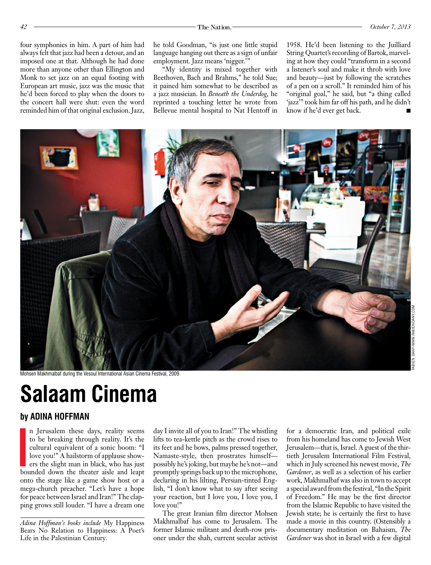four symphonies in him. A part of him had always felt that jazz had been a detour, and an imposed one at that. Although he had done more than anyone other than Ellington and Monk to set jazz on an equal footing with European art music, jazz was the music that he'd been forced to play when the doors to the concert hall were shut: even the word reminded him of that original exclusion. Jazz, he told Goodman, "is just one little stupid language hanging out there as a sign of unfair employment. Jazz means 'nigger.'"

"My identity is mixed together with Beethoven, Bach and Brahms," he told Sue; it pained him somewhat to be described as a jazz musician. In *Beneath the Underdog*, he reprinted a touching letter he wrote from Bellevue mental hospital to Nat Hentoff in

1958. He'd been listening to the Juilliard String Quartet's recording of Bartok, marveling at how they could "transform in a second a listener's soul and make it throb with love and beauty—just by following the scratches of a pen on a scroll." It reminded him of his "original goal," he said, but "a thing called 'jazz'" took him far off his path, and he didn't know if he'd ever get back.



Mohsen Makhmalbaf during the Vesoul International Asian Cinema Festival, 2009

## **Salaam Cinema**

## **by ADINA HOFFMAN**

I n Jerusalem these days, reality seems to be breaking through reality. It's the cultural equivalent of a sonic boom: "I love you!" A hailstorm of applause showers the slight man in black, who has just bounded down the theater aisle and leapt onto the stage like a game show host or a mega-church preacher. "Let's have a hope for peace between Israel and Iran!" The clapping grows still louder. "I have a dream one

*Adina Hoffman's books include* My Happiness Bears No Relation to Happiness: A Poet's Life in the Palestinian Century*.*

day I invite all of you to Iran!" The whistling lifts to tea-kettle pitch as the crowd rises to its feet and he bows, palms pressed together, Namaste-style, then prostrates himself possibly he's joking, but maybe he's not—and promptly springs back up to the microphone, declaring in his lilting, Persian-tinted English, "I don't know what to say after seeing your reaction, but I love you, I love you, I love you!"

The great Iranian film director Mohsen Makhmalbaf has come to Jerusalem. The former Islamic militant and death-row prisoner under the shah, current secular activist

for a democratic Iran, and political exile from his homeland has come to Jewish West Jerusalem—that is, Israel. A guest of the thirtieth Jerusalem International Film Festival, which in July screened his newest movie, *The Gardener*, as well as a selection of his earlier work, Makhmalbaf was also in town to accept a special award from the festival, "In the Spirit of Freedom." He may be the first director from the Islamic Republic to have visited the Jewish state; he is certainly the first to have made a movie in this country. (Ostensibly a documentary meditation on Bahaism, *The Gardener* was shot in Israel with a few digital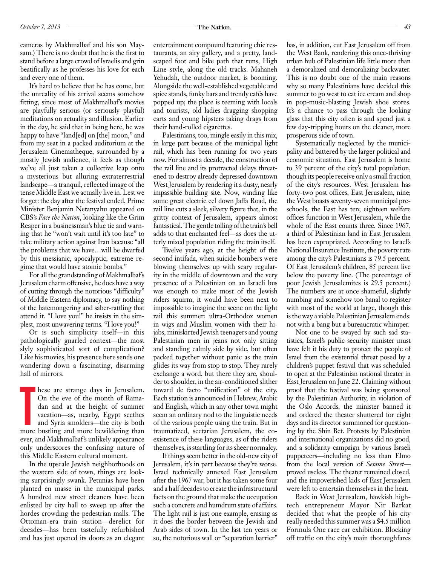cameras by Makhmalbaf and his son Maysam.) There is no doubt that he is the first to stand before a large crowd of Israelis and grin beatifically as he professes his love for each and every one of them.

It's hard to believe that he has come, but the unreality of his arrival seems somehow fitting, since most of Makhmalbaf's movies are playfully serious (or seriously playful) meditations on actuality and illusion. Earlier in the day, he said that in being here, he was happy to have "land[ed] on [the] moon," and from my seat in a packed auditorium at the Jerusalem Cinematheque, surrounded by a mostly Jewish audience, it feels as though we've all just taken a collective leap onto a mysterious but alluring extraterrestrial landscape—a tranquil, reflected image of the tense Middle East we actually live in. Lest we forget: the day after the festival ended, Prime Minister Benjamin Netanyahu appeared on CBS's *Face the Nation*, looking like the Grim Reaper in a businessman's blue tie and warning that he "won't wait until it's too late" to take military action against Iran because "all the problems that we have…will be dwarfed by this messianic, apocalyptic, extreme regime that would have atomic bombs."

For all the grandstanding of Makhmalbaf's Jerusalem charm offensive, he does have a way of cutting through the notorious "difficulty" of Middle Eastern diplomacy, to say nothing of the hatemongering and saber-rattling that attend it. "I love you!" he insists in the simplest, most unwavering terms. "I love you!"

Or is such simplicity itself—in this pathologically gnarled context—the most slyly sophisticated sort of complication? Like his movies, his presence here sends one wandering down a fascinating, disarming hall of mirrors.

hese are strange days in Jerusalem.<br>
On the eve of the month of Rama-<br>
dan and at the height of summer<br>
vacation—as, nearby, Egypt seethes<br>
and Syria smolders—the city is both<br>
more bustling and more bewildering than hese are strange days in Jerusalem. On the eve of the month of Ramadan and at the height of summer vacation—as, nearby, Egypt seethes and Syria smolders—the city is both ever, and Makhmalbaf's unlikely appearance only underscores the confusing nature of this Middle Eastern cultural moment.

In the upscale Jewish neighborhoods on the western side of town, things are looking surprisingly swank. Petunias have been planted en masse in the municipal parks. A hundred new street cleaners have been enlisted by city hall to sweep up after the hordes crowding the pedestrian malls. The Ottoman-era train station—derelict for decades—has been tastefully refurbished and has just opened its doors as an elegant entertainment compound featuring chic restaurants, an airy gallery, and a pretty, landscaped foot and bike path that runs, High Line–style, along the old tracks. Mahaneh Yehudah, the outdoor market, is booming. Alongside the well-established vegetable and spice stands, funky bars and trendy cafés have popped up; the place is teeming with locals and tourists, old ladies dragging shopping carts and young hipsters taking drags from their hand-rolled cigarettes.

Palestinians, too, mingle easily in this mix, in large part because of the municipal light rail, which has been running for two years now. For almost a decade, the construction of the rail line and its protracted delays threatened to destroy already depressed downtown West Jerusalem by rendering it a dusty, nearly impassible building site. Now, winding like some great electric eel down Jaffa Road, the rail line cuts a sleek, silvery figure that, in the gritty context of Jerusalem, appears almost fantastical. The gentle tolling of the train's bell adds to that enchanted feel—as does the utterly mixed population riding the train itself.

Twelve years ago, at the height of the second intifada, when suicide bombers were blowing themselves up with scary regularity in the middle of downtown and the very presence of a Palestinian on an Israeli bus was enough to make most of the Jewish riders squirm, it would have been next to impossible to imagine the scene on the light rail this summer: ultra-Orthodox women in wigs and Muslim women with their hijabs, miniskirted Jewish teenagers and young Palestinian men in jeans not only sitting and standing calmly side by side, but often packed together without panic as the train glides its way from stop to stop. They rarely exchange a word, but there they are, shoulder to shoulder, in the air-conditioned slither toward de facto "unification" of the city. Each station is announced in Hebrew, Arabic and English, which in any other town might seem an ordinary nod to the linguistic needs of the various people using the train. But in traumatized, sectarian Jerusalem, the coexistence of these languages, as of the riders themselves, is startling for its sheer normalcy.

If things seem better in the old-new city of Jerusalem, it's in part because they're worse. Israel technically annexed East Jerusalem after the 1967 war, but it has taken some four and a half decades to create the infrastructural facts on the ground that make the occupation such a concrete and humdrum state of affairs. The light rail is just one example, erasing as it does the border between the Jewish and Arab sides of town. In the last ten years or so, the notorious wall or "separation barrier"

has, in addition, cut East Jerusalem off from the West Bank, rendering this once-thriving urban hub of Palestinian life little more than a demoralized and demoralizing backwater. This is no doubt one of the main reasons why so many Palestinians have decided this summer to go west to eat ice cream and shop in pop-music-blasting Jewish shoe stores. It's a chance to pass through the looking glass that this city often is and spend just a few day-tripping hours on the cleaner, more prosperous side of town.

Systematically neglected by the municipality and battered by the larger political and economic situation, East Jerusalem is home to 39 percent of the city's total population, though its people receive only a small fraction of the city's resources. West Jerusalem has forty-two post offices, East Jerusalem, nine; the West boasts seventy-seven municipal preschools, the East has ten; eighteen welfare offices function in West Jerusalem, while the whole of the East counts three. Since 1967, a third of Palestinian land in East Jerusalem has been expropriated. According to Israel's National Insurance Institute, the poverty rate among the city's Palestinians is 79.5 percent. Of East Jerusalem's children, 85 percent live below the poverty line. (The percentage of poor Jewish Jerusalemites is 29.5 percent.) The numbers are at once shameful, slightly numbing and somehow too banal to register with most of the world at large, though this is the way a viable Palestinian Jerusalem ends: not with a bang but a bureaucratic whimper.

Not one to be swayed by such sad statistics, Israel's public security minister must have felt it his duty to protect the people of Israel from the existential threat posed by a children's puppet festival that was scheduled to open at the Palestinian national theater in East Jerusalem on June 22. Claiming without proof that the festival was being sponsored by the Palestinian Authority, in violation of the Oslo Accords, the minister banned it and ordered the theater shuttered for eight days and its director summoned for questioning by the Shin Bet. Protests by Palestinian and international organizations did no good, and a solidarity campaign by various Israeli puppeteers—including no less than Elmo from the local version of *Sesame Street* proved useless. The theater remained closed, and the impoverished kids of East Jerusalem were left to entertain themselves in the heat.

Back in West Jerusalem, hawkish hightech entrepreneur Mayor Nir Barkat decided that what the people of his city really needed this summer was a \$4.5 million Formula One race car exhibition. Blocking off traffic on the city's main thoroughfares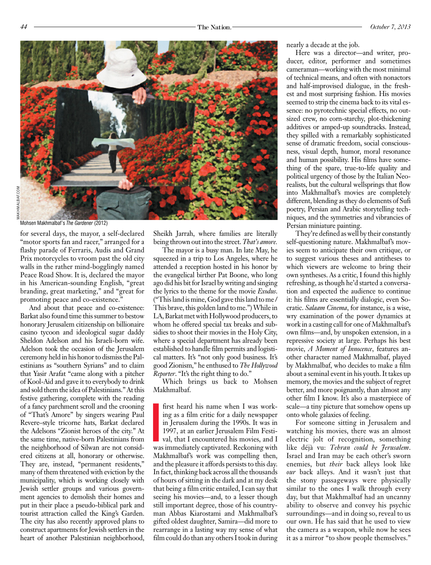

Mohsen Makhmalbaf's *The Gardener* (2012)

for several days, the mayor, a self-declared "motor sports fan and racer," arranged for a flashy parade of Ferraris, Audis and Grand Prix motorcycles to vroom past the old city walls in the rather mind-bogglingly named Peace Road Show. It is, declared the mayor in his American-sounding English, "great branding, great marketing," and "great for promoting peace and co-existence."

And about that peace and co-existence: Barkat also found time this summer to bestow honorary Jerusalem citizenship on billionaire casino tycoon and ideological sugar daddy Sheldon Adelson and his Israeli-born wife. Adelson took the occasion of the Jerusalem ceremony held in his honor to dismiss the Palestinians as "southern Syrians" and to claim that Yasir Arafat "came along with a pitcher of Kool-Aid and gave it to everybody to drink and sold them the idea of Palestinians." At this festive gathering, complete with the reading of a fancy parchment scroll and the crooning of "That's Amore" by singers wearing Paul Revere–style tricorne hats, Barkat declared the Adelsons "Zionist heroes of the city." At the same time, native-born Palestinians from the neighborhood of Silwan are not considered citizens at all, honorary or otherwise. They are, instead, "permanent residents," many of them threatened with eviction by the municipality, which is working closely with Jewish settler groups and various government agencies to demolish their homes and put in their place a pseudo-biblical park and tourist attraction called the King's Garden. The city has also recently approved plans to construct apartments for Jewish settlers in the heart of another Palestinian neighborhood,

Sheikh Jarrah, where families are literally being thrown out into the street. *That's amore.*

The mayor is a busy man. In late May, he squeezed in a trip to Los Angeles, where he attended a reception hosted in his honor by the evangelical birther Pat Boone, who long ago did his bit for Israel by writing and singing the lyrics to the theme for the movie *Exodus*. ("This land is mine, God gave this land to me / This brave, this golden land to me.") While in LA, Barkat met with Hollywood producers, to whom he offered special tax breaks and subsidies to shoot their movies in the Holy City, where a special department has already been established to handle film permits and logistical matters. It's "not only good business. It's good Zionism," he enthused to *The Hollywood Reporter*. "It's the right thing to do."

Which brings us back to Mohsen Makhmalbaf.

first heard his name when I was working as a film critic for a daily newspaper in Jerusalem during the 1990s. It was in 1997, at an earlier Jerusalem Film Festival, that I encountered his movies, and I was immediately capt ing as a film critic for a daily newspaper in Jerusalem during the 1990s. It was in 1997, at an earlier Jerusalem Film Festival, that I encountered his movies, and I Makhmalbaf's work was compelling then, and the pleasure it affords persists to this day. In fact, thinking back across all the thousands of hours of sitting in the dark and at my desk that being a film critic entailed, I can say that seeing his movies—and, to a lesser though still important degree, those of his countryman Abbas Kiarostami and Makhmalbaf's gifted oldest daughter, Samira—did more to rearrange in a lasting way my sense of what film could do than any others I took in during

nearly a decade at the job.

Here was a director—and writer, producer, editor, performer and sometimes cameraman—working with the most minimal of technical means, and often with nonactors and half-improvised dialogue, in the freshest and most surprising fashion. His movies seemed to strip the cinema back to its vital essence: no pyrotechnic special effects, no outsized crew, no corn-starchy, plot-thickening additives or amped-up soundtracks. Instead, they spilled with a remarkably sophisticated sense of dramatic freedom, social consciousness, visual depth, humor, moral resonance and human possibility. His films have something of the spare, true-to-life quality and political urgency of those by the Italian Neorealists, but the cultural wellsprings that flow into Makhmalbaf's movies are completely different, blending as they do elements of Sufi poetry, Persian and Arabic storytelling techniques, and the symmetries and vibrancies of Persian miniature painting.

They're defined as well by their constantly self-questioning nature. Makhmalbaf's movies seem to anticipate their own critique, or to suggest various theses and antitheses to which viewers are welcome to bring their own syntheses. As a critic, I found this highly refreshing, as though he'd started a conversation and expected the audience to continue it: his films are essentially dialogic, even Socratic. *Salaam Cinema*, for instance, is a wise, wry examination of the power dynamics at work in a casting call for one of Makhmalbaf's own films—and, by unspoken extension, in a repressive society at large. Perhaps his best movie, *A Moment of Innocence*, features another character named Makhmalbaf, played by Makhmalbaf, who decides to make a film about a seminal event in his youth. It takes up memory, the movies and the subject of regret better, and more poignantly, than almost any other film I know. It's also a masterpiece of scale—a tiny picture that somehow opens up onto whole galaxies of feeling.

For someone sitting in Jerusalem and watching his movies, there was an almost electric jolt of recognition, something like déjà vu: *Tehran could be Jerusalem*. Israel and Iran may be each other's sworn enemies, but *their* back alleys look like *our* back alleys. And it wasn't just that the stony passageways were physically similar to the ones I walk through every day, but that Makhmalbaf had an uncanny ability to observe and convey his psychic surroundings—and in doing so, reveal to us our own. He has said that he used to view the camera as a weapon, while now he sees it as a mirror "to show people themselves."